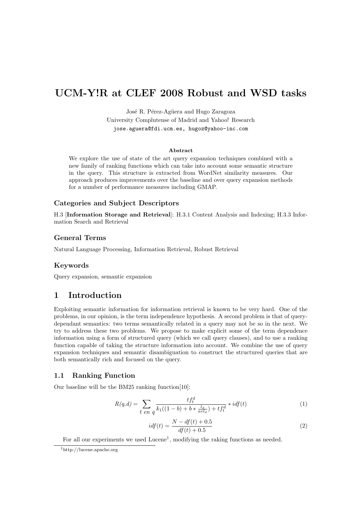# UCM-Y!R at CLEF 2008 Robust and WSD tasks

José R. Pérez-Agüera and Hugo Zaragoza University Complutense of Madrid and Yahoo! Research jose.aguera@fdi.ucm.es, hugoz@yahoo-inc.com

#### Abstract

We explore the use of state of the art query expansion techniques combined with a new family of ranking functions which can take into account some semantic structure in the query. This structure is extracted from WordNet similarity measures. Our approach produces improvements over the baseline and over query expansion methods for a number of performance measures including GMAP.

#### Categories and Subject Descriptors

H.3 [Information Storage and Retrieval]: H.3.1 Content Analysis and Indexing; H.3.3 Information Search and Retrieval

#### General Terms

Natural Language Processing, Information Retrieval, Robust Retrieval

#### Keywords

Query expansion, semantic expansion

## 1 Introduction

Exploiting semantic information for information retrieval is known to be very hard. One of the problems, in our opinion, is the term independence hypothesis. A second problem is that of querydependant semantics: two terms semantically related in a query may not be so in the next. We try to address these two problems. We propose to make explicit some of the term dependence information using a form of structured query (which we call query clauses), and to use a ranking function capable of taking the structure information into account. We combine the use of query expansion techniques and semantic disambiguation to construct the structured queries that are both semantically rich and focused on the query.

#### 1.1 Ranking Function

Our baseline will be the BM25 ranking function[10]:

$$
R(q,d) = \sum_{t \text{ }en \text{ }q} \frac{tf_t^d}{k_1((1-b) + b * \frac{l_d}{avl_d}) + tf_t^d} * idf(t)
$$
 (1)

$$
idf(t) = \frac{N - df(t) + 0.5}{df(t) + 0.5}
$$
\n(2)

For all our experiments we used Lucene<sup>1</sup>, modifying the raking functions as needed.

<sup>1</sup>http://lucene.apache.org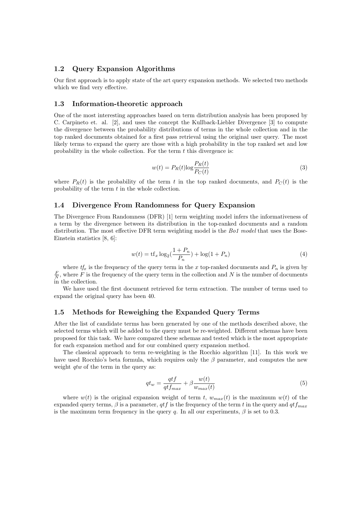## 1.2 Query Expansion Algorithms

Our first approach is to apply state of the art query expansion methods. We selected two methods which we find very effective.

#### 1.3 Information-theoretic approach

One of the most interesting approaches based on term distribution analysis has been proposed by C. Carpineto et. al. [2], and uses the concept the Kullback-Liebler Divergence [3] to compute the divergence between the probability distributions of terms in the whole collection and in the top ranked documents obtained for a first pass retrieval using the original user query. The most likely terms to expand the query are those with a high probability in the top ranked set and low probability in the whole collection. For the term  $t$  this divergence is:

$$
w(t) = P_R(t)\log\frac{P_R(t)}{P_C(t)}
$$
\n<sup>(3)</sup>

where  $P_R(t)$  is the probability of the term t in the top ranked documents, and  $P_C(t)$  is the probability of the term t in the whole collection.

#### 1.4 Divergence From Randomness for Query Expansion

The Divergence From Randomness (DFR) [1] term weighting model infers the informativeness of a term by the divergence between its distribution in the top-ranked documents and a random distribution. The most effective DFR term weighting model is the Bo1 model that uses the Bose-Einstein statistics [8, 6]:

$$
w(t) = \text{tf}_x \log_2(\frac{1+P_n}{P_n}) + \log(1+P_n)
$$
\n(4)

where  $tf_x$  is the frequency of the query term in the x top-ranked documents and  $P_n$  is given by  $\frac{F}{N}$ , where F is the frequency of the query term in the collection and N is the number of documents in the collection.

We have used the first document retrieved for term extraction. The number of terms used to expand the original query has been 40.

#### 1.5 Methods for Reweighing the Expanded Query Terms

After the list of candidate terms has been generated by one of the methods described above, the selected terms which will be added to the query must be re-weighted. Different schemas have been proposed for this task. We have compared these schemas and tested which is the most appropriate for each expansion method and for our combined query expansion method.

The classical approach to term re-weighting is the Rocchio algorithm [11]. In this work we have used Rocchio's beta formula, which requires only the  $\beta$  parameter, and computes the new weight *qtw* of the term in the query as:

$$
qt_w = \frac{qtf}{qtf_{max}} + \beta \frac{w(t)}{w_{max}(t)}
$$
\n<sup>(5)</sup>

where  $w(t)$  is the original expansion weight of term t,  $w_{max}(t)$  is the maximum  $w(t)$  of the expanded query terms,  $\beta$  is a parameter, qtf is the frequency of the term t in the query and qtfmax is the maximum term frequency in the query q. In all our experiments,  $\beta$  is set to 0.3.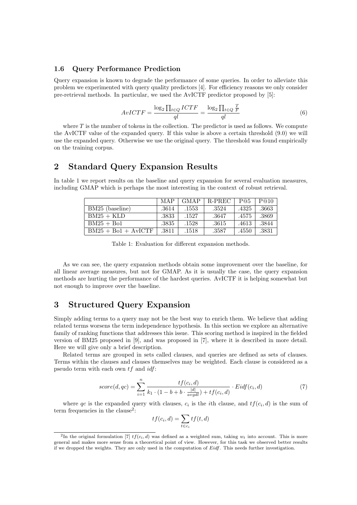### 1.6 Query Performance Prediction

Query expansion is known to degrade the performance of some queries. In order to alleviate this problem we experimented with query quality predictors [4]. For efficiency reasons we only consider pre-retrieval methods. In particular, we used the AvICTF predictor proposed by [5]:

$$
AvICTF = \frac{\log_2 \prod_{t \in Q} ICTF}{ql} = \frac{\log_2 \prod_{t \in Q} \frac{T}{F}}{ql}
$$
\n
$$
(6)
$$

where  $T$  is the number of tokens in the collection. The predictor is used as follows. We compute the AvICTF value of the expanded query. If this value is above a certain threshold (9.0) we will use the expanded query. Otherwise we use the original query. The threshold was found empirically on the training corpus.

# 2 Standard Query Expansion Results

In table 1 we report results on the baseline and query expansion for several evaluation measures, including GMAP which is perhaps the most interesting in the context of robust retrieval.

|                       | MAP   | <b>GMAP</b> | <b>R-PREC</b> | P@5   | P@10  |
|-----------------------|-------|-------------|---------------|-------|-------|
| BM25 (baseline)       | .3614 | .1553       | .3524         | .4325 | .3663 |
| $BM25 + KLD$          | .3833 | .1527       | .3647         | .4575 | .3869 |
| $BM25 + Bo1$          | .3835 | .1528       | .3615         | .4613 | .3844 |
| $BM25 + Bo1 + AvICTF$ | .3811 | .1518       | .3587         | .4550 | .3831 |

Table 1: Evaluation for different expansion methods.

As we can see, the query expansion methods obtain some improvement over the baseline, for all linear average measures, but not for GMAP. As it is usually the case, the query expansion methods are hurting the performance of the hardest queries. AvICTF it is helping somewhat but not enough to improve over the baseline.

# 3 Structured Query Expansion

Simply adding terms to a query may not be the best way to enrich them. We believe that adding related terms worsens the term independence hypothesis. In this section we explore an alternative family of ranking functions that addresses this issue. This scoring method is inspired in the fielded version of BM25 proposed in [9], and was proposed in [7], where it is described in more detail. Here we will give only a brief description.

Related terms are grouped in sets called clauses, and queries are defined as sets of clauses. Terms within the clauses and clauses themselves may be weighted. Each clause is considered as a pseudo term with each own  $tf$  and  $idf$ :

$$
score(d, qc) = \sum_{i=1}^{n} \frac{tf(c_i, d)}{k_1 \cdot (1 - b + b \cdot \frac{|d|}{avgdl}) + tf(c_i, d)} \cdot Eidf(c_i, d)
$$
\n
$$
(7)
$$

where qc is the expanded query with clauses,  $c_i$  is the *i*th clause, and  $tf(c_i, d)$  is the sum of term frequencies in the clause<sup>2</sup>:

$$
tf(c_i, d) = \sum_{t \in c_i} tf(t, d)
$$

<sup>&</sup>lt;sup>2</sup>In the original formulation [7]  $tf(c_i, d)$  was defined as a weighted sum, taking  $w_t$  into account. This is more general and makes more sense from a theoretical point of view. However, for this task we observed better results if we dropped the weights. They are only used in the computation of Eidf. This needs further investigation.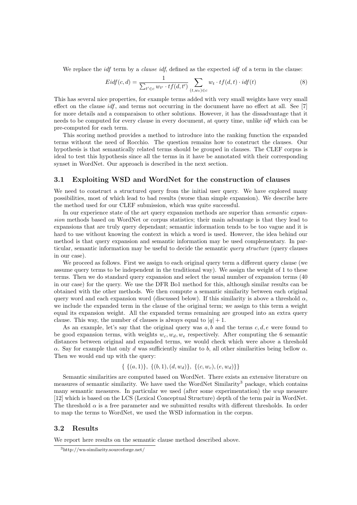We replace the *idf* term by a *clause idf*, defined as the expected *idf* of a term in the clause:

$$
Eidf(c,d) = \frac{1}{\sum_{t' \in c} w_{t'} \cdot tf(d,t')} \sum_{(t,w_t) \in c} w_t \cdot tf(d,t) \cdot idf(t)
$$
\n
$$
(8)
$$

This has several nice properties, for example terms added with very small weights have very small effect on the clause idf, and terms not occurring in the document have no effect at all. See [7] for more details and a comparaison to other solutions. However, it has the dissadvantage that it needs to be computed for every clause in every document, at query time, unlike idf which can be pre-computed for each term.

This scoring method provides a method to introduce into the ranking function the expanded terms without the need of Rocchio. The question remains how to construct the clauses. Our hypothesis is that semantically related terms should be grouped in clauses. The CLEF corpus is ideal to test this hypothesis since all the terms in it have be annotated with their corresponding synset in WordNet. Our approach is described in the next section.

#### 3.1 Exploiting WSD and WordNet for the construction of clauses

We need to construct a structured query from the initial user query. We have explored many possibilities, most of which lead to bad results (worse than simple expansion). We describe here the method used for our CLEF submission, which was quite successful.

In our experience state of the art query expansion methods are superior than *semantic expan*sion methods based on WordNet or corpus statistics; their main advantage is that they lead to expansions that are truly query dependant; semantic information tends to be too vague and it is hard to use without knowing the context in which a word is used. However, the idea behind our method is that query expansion and semantic information may be used complementary. In particular, semantic information may be useful to decide the semantic query structure (query clauses in our case).

We proceed as follows. First we assign to each original query term a different query clause (we assume query terms to be independent in the traditional way). We assign the weight of 1 to these terms. Then we do standard query expansion and select the usual number of expansion terms (40 in our case) for the query. We use the DFR Bo1 method for this, although similar results can be obtained with the other methods. We then compute a semantic similarity between each original query word and each expansion word (discussed below). If this similarity is above a threshold  $\alpha$ , we include the expanded term in the clause of the original term; we assign to this term a weight equal its expansion weight. All the expanded terms remaining are grouped into an extra query clause. This way, the number of clauses is always equal to  $|q|+1$ .

As an example, let's say that the original query was  $a, b$  and the terms  $c, d, e$  were found to be good expansion terms, with weights  $w_c, w_d, w_e$  respectively. After computing the 6 semantic distances between original and expanded terms, we would check which were above a threshold α. Say for example that only d was sufficiently similar to b, all other similarities being bellow  $α$ . Then we would end up with the query:

$$
\{ \{ (a,1) \}, \{ (b,1), (d,w_d) \}, \{ (c,w_c), (e,w_d) \} \}
$$

Semantic similarities are computed based on WordNet. There exists an extensive literature on measures of semantic similarity. We have used the WordNet Similarity<sup>3</sup> package, which contains many semantic measures. In particular we used (after some experimentation) the wup measure [12] which is based on the LCS (Lexical Conceptual Structure) depth of the term pair in WordNet. The threshold  $\alpha$  is a free parameter and we submitted results with different thresholds. In order to map the terms to WordNet, we used the WSD information in the corpus.

#### 3.2 Results

We report here results on the semantic clause method described above.

<sup>3</sup>http://wn-similarity.sourceforge.net/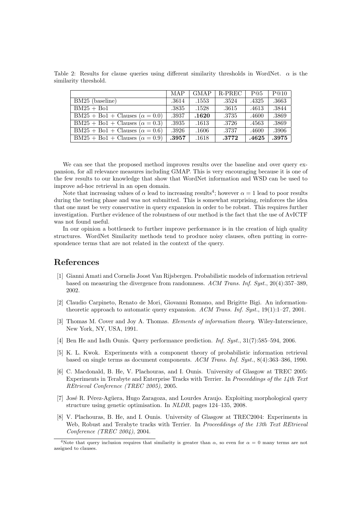Table 2: Results for clause queries using different similarity thresholds in WordNet.  $\alpha$  is the similarity threshold.

|                                       | MAP   | <b>GMAP</b> | R-PREC | P@5   | P@10  |
|---------------------------------------|-------|-------------|--------|-------|-------|
| BM25 (baseline)                       | .3614 | .1553       | .3524  | .4325 | .3663 |
| $BM25 + Bo1$                          | .3835 | .1528       | .3615  | .4613 | .3844 |
| $BM25 + Bol + Clauses (\alpha = 0.0)$ | .3937 | .1620       | .3735  | .4600 | .3869 |
| $BM25 + Bol + Clauses (\alpha = 0.3)$ | .3935 | .1613       | .3726  | .4563 | .3869 |
| $BM25 + Bo1 + Clauses (\alpha = 0.6)$ | .3926 | .1606       | .3737  | .4600 | .3906 |
| $BM25 + Bo1 + Clauses (\alpha = 0.9)$ | .3957 | .1618       | .3772  | .4625 | .3975 |

We can see that the proposed method improves results over the baseline and over query expansion, for all relevance measures including GMAP. This is very encouraging because it is one of the few results to our knowledge that show that WordNet information and WSD can be used to improve ad-hoc retrieval in an open domain.

Note that increasing values of  $\alpha$  lead to increasing results<sup>4</sup>; however  $\alpha = 1$  lead to poor results during the testing phase and was not submitted. This is somewhat surprising, reinforces the idea that one must be very conservative in query expansion in order to be robust. This requires further investigation. Further evidence of the robustness of our method is the fact that the use of AvICTF was not found useful.

In our opinion a bottleneck to further improve performance is in the creation of high quality structures. WordNet Similarity methods tend to produce noisy clauses, often putting in correspondence terms that are not related in the context of the query.

## References

- [1] Gianni Amati and Cornelis Joost Van Rijsbergen. Probabilistic models of information retrieval based on measuring the divergence from randomness. ACM Trans. Inf. Syst., 20(4):357–389, 2002.
- [2] Claudio Carpineto, Renato de Mori, Giovanni Romano, and Brigitte Bigi. An informationtheoretic approach to automatic query expansion.  $ACM$  Trans. Inf. Syst., 19(1):1–27, 2001.
- [3] Thomas M. Cover and Joy A. Thomas. *Elements of information theory*. Wiley-Interscience, New York, NY, USA, 1991.
- [4] Ben He and Iadh Ounis. Query performance prediction. Inf. Syst., 31(7):585–594, 2006.
- [5] K. L. Kwok. Experiments with a component theory of probabilistic information retrieval based on single terms as document components. ACM Trans. Inf. Syst., 8(4):363–386, 1990.
- [6] C. Macdonald, B. He, V. Plachouras, and I. Ounis. University of Glasgow at TREC 2005: Experiments in Terabyte and Enterprise Tracks with Terrier. In Proceeddings of the 14th Text REtrieval Conference (TREC 2005), 2005.
- [7] José R. Pérez-Agüera, Hugo Zaragoza, and Lourdes Araujo. Exploiting morphological query structure using genetic optimisation. In NLDB, pages 124–135, 2008.
- [8] V. Plachouras, B. He, and I. Ounis. University of Glasgow at TREC2004: Experiments in Web, Robust and Terabyte tracks with Terrier. In Proceeddings of the 13th Text REtrieval Conference (TREC 2004), 2004.

<sup>&</sup>lt;sup>4</sup>Note that query inclusion requires that similarity is greater than  $\alpha$ , so even for  $\alpha = 0$  many terms are not assigned to clauses.